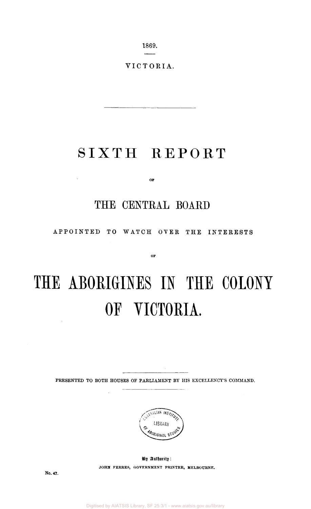1869.

VICTORIA.

## SIXTH REPORT

 $O\overline{F}$ 

## THE CENTRAL BOARD

APPOINTED TO WATCH OVER THE INTERESTS

OF

# **THE ABORIGINES IN THE COLONY OF VICTORIA.**

PRESENTED TO BOTH HOUSES OF PARLIAMENT BY HIS EXCELLENCY'S COMMAND.



By Authority: **JOHN FERRES, GOVERNMENT PRINTER, MELBOURNE.** 

No. 47.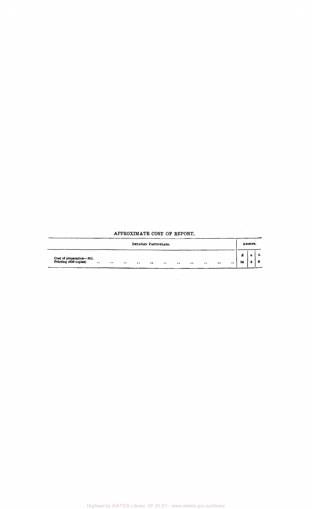| Cost of preparation—Nil.<br>Printing (850 copies)<br>$\cdots$<br>$\cdots$<br>$\cdot \cdot$<br>$\bullet$<br>$\bullet$<br>$\cdot$ . | $\bullet$<br>$\cdot$ | $\cdot \cdot$<br>$\bullet$<br>$\cdot$ | £<br>58 | в.<br>6<br>8 |
|-----------------------------------------------------------------------------------------------------------------------------------|----------------------|---------------------------------------|---------|--------------|
|                                                                                                                                   |                      |                                       |         |              |

#### APPROXIMATE COST OF REPORT.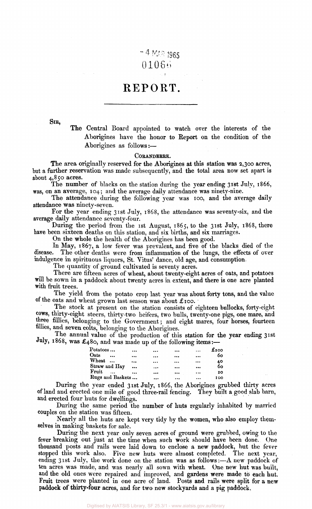## $-4$  MAR 1965  $01066$

### REPORT.

SIB,

The Central Board appointed to watch over the interests of the Aborigines have the honor to Report on the condition of the Aborigines as follows:—

#### CORANDERRK.

The area originally reserved for the Aborigines at this station was 2,300 acres, but a further reservation was made subsequently, and the total area now set apart is about 4,850 acres.

The number of blacks on the station during the year ending 31st July, 1866, was, on an average, 104; and the average daily attendance was ninety-nine.

The attendance during the following year was 100, and the average daily attendance was ninety-seven.

For the year ending 31st July, 1868, the attendance was seventy-six, and the average daily attendance seventy-four.

During the period from the 1st August, 1865, to the 31st July, 1868, there have been sixteen deaths on this station, and six births, and six marriages.

On the whole the health of the Aborigines has been good.

In May, 1867, a low fever was prevalent, and five of the blacks died of the disease. The other deaths were from inflammation of the lungs, the effects of over indulgence in spirituous liquors, St. Vitus' dance, old age, and consumption.

The quantity of ground cultivated is seventy acres.

There are fifteen acres of wheat, about twenty-eight acres of oats, and potatoes will be sown in a paddock about twenty acres in extent, and there is one acre planted with fruit trees.

The yield from the potato crop last year was about forty tons, and the value of the oats and wheat grown last season was about £100.

The stock at present on the station consists of eighteen bullocks, forty-eight cows, thirty-eight steers, thirty-two heifers, two bulls, twenty-one pigs, one mare, and three fillies, belonging to the Government; and eight mares, four horses, fourteen fillies, and seven colts, belonging to the Aborigines.

The annual value of the production of this station for the year ending 31st July,  $1868$ , was  $\pounds_480$ , and was made up of the following items:-

| $\textbf{Potatos}\dots$ |           |          |           | $\cdots$  | $f_{200}$ |
|-------------------------|-----------|----------|-----------|-----------|-----------|
| Oats<br>$\ddotsc$       |           | $\cdots$ |           |           | 60        |
| Wheat                   |           | $\cdots$ | $\cdots$  | $\cdots$  |           |
| Straw and Hay           | $\ddotsc$ |          | $\ddotsc$ |           | 40<br>60  |
| Fruit                   |           |          |           | $\cdots$  | 20        |
| Rugs and Baskets        |           |          | $\cdots$  | $\ddotsc$ | 100       |

During the year ended 31st July, 1866, the Aborigines grubbed thirty acres of land and erected one mile of good three-rail fencing. They built a good slab barn, and erected four huts for dwellings.

During the same period the number of huts regularly inhabited by married couples on the station was fifteen.

Nearly all the huts are kept very tidy by the women, who also employ themselves in making baskets for sale.

During the next year only seven acres of ground were grubbed, owing to the fever breaking out just at the time when such work should have been done. One thousand posts and rails were laid down to enclose a new paddock, but the fever stopped this work also. Five new huts were almost completed. The next year, ending 31st July, the work done on the station was as follows: $-\Lambda$  new paddock of ten acres was made, and was nearly all sown with wheat. One new hut was built, and the old ones were repaired and improved, and gardens were made to each hut. Fruit trees were planted in one acre of land. Posts and rails were split for a new **paddock of thirty-four** acres, and for two new stockyards and a pig paddock,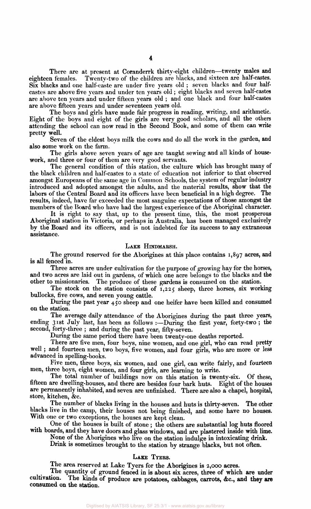There are at present at Coranderrk thirty-eight children—twenty males and eighteen females. Twenty-two of the children are blacks, and sixteen are half-castes. Six blacks and one half-caste are under five years old ; seven blacks and four halfcastes are above five years and under ten years old ; eight blacks and seven half-castes are above ten years and under fifteen years old ; and one black and four half-castes are above fifteen years and under seventeen years old.

The boys and girls have made fair progress in reading, writing, and arithmetic. Eight of the boys and eight of the girls are very good scholars, and all the others attending the school can now read in the Second Book, and some of them can write pretty well.

Seven of the eldest boys milk the cows and do all the work in the garden, and also some work on the farm.

The girls above seven years of age are taught sewing and all kinds of housework, and three or four of them are very good servants.

The general condition of this station, the culture which has brought many of the black children and half-castes to a state of education not inferior to that observed amongst Europeans of the same age in Common Schools, the system of regular industry introduced and adopted amongst the adults, and the material results, show that the labors of the Central Board and its officers have been beneficial in a high degree. The results, indeed, have far exceeded the most sanguine expectations of those amongst the members of the Board who have had the largest experience of the Aboriginal character.

It is right to say that, up to the present time, this, the most prosperous Aboriginal station in Victoria, or perhaps in Australia, has been managed exclusively by the Board and its officers, and is not indebted for its success to any extraneous assistance.

#### LAKE HINDMARSH.

The ground reserved for the Aborigines at this place contains 1,897 acres, and is all fenced in.

Three acres are under cultivation for the purpose of growing hay for the horses, and two acres are laid out in gardens, of which one acre belongs to the blacks and the other to missionaries. The produce of these gardens is consumed on the station.

The stock on the station consists of 1,225 sheep, three horses, six working bullocks, five cows, and seven young cattle.

During the past year 450 sheep and one heifer have been killed and consumed on the station.

The average daily attendance of the Aborigines during the past three years, ending 31st July last, has been as follows :—During the first year, forty-two ; the second, forty-three ; and during the past year, fifty-seven.

During the same period there have been twenty-one deaths reported.

There are five men, four boys, nine women, and one girl, who can read pretty well; and fourteen men, two boys, five women, and four girls, who are more or less advanced in spelling-books.

Five men, three boys, six women, and one girl, can write fairly, and fourteen men, three boys, eight women, and four girls, are learning to write.

The total number of buildings now on this station is twenty-six. Of these, fifteen are dwelling-houses, and there are besides four bark huts. Eight of the houses are permanently inhabited, and seven are unfinished. There are also a chapel, hospital, store, kitchen, &c.

The number of blacks living in the houses and huts is thirty-seven. The other blacks live in the camp, their houses not being finished, and some have no houses. With one or two exceptions, the houses are kept clean.

One of the houses is built of stone ; the others are substantial log huts floored with boards, and they have doors and glass windows, and are plastered inside with lime.

None of the Aborigines who live on the station indulge in intoxicating drink.

Drink is sometimes brought to the station by strange blacks, but not often.

#### LAKE TYERS.

The area reserved at Lake Tyers for the Aborigines is 2,000 acres.

The quantity of ground fenced in is about six acres, three of which are under cultivation. The kinds of produce are potatoes, cabbages, carrots, &c , and they are consumed on the station.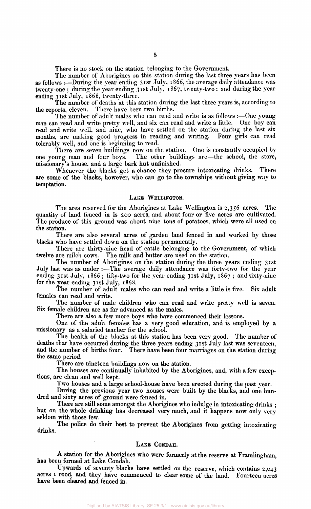There is no stock on the station belonging to the Government.

The number of Aborigines on this station during the last three years has been as follows :—During the year ending 31st July, 1866, the average daily attendance was twenty-one; during the year ending 31st July, 1867, twenty-two; and during the year ending 31st July, 1868, twenty-three.

The number of deaths at this station during the last three years is, according to the reports, eleven. There have been two births. There have been two births.

The number of adult males who can read and write is as follows :—One young man can read and write pretty well, and six can read and write a little. One boy can read and write well, and nine, who have settled on the station during the last six months, are making good progress in reading and writing. Four girls can read tolerably well, and one is beginning to read.

There are seven buildings now on the station. One is constantly occupied by one young man and four boys. The other buildings are—the school, the store, The other buildings are—the school, the store, missionary's house, and a large bark hut unfinished.

Whenever the blacks get a chance they procure intoxicating drinks. There are some of the blacks, however, who can go to the townships without giving way to temptation.

#### LAKE WELLINGTON.

The area reserved for the Aborigines at Lake Wellington is 2,356 acres. The quantity of land fenced in is 200 acres, and about four or five acres are cultivated. The produce of this ground was about nine tons of potatoes, which were all used on the station.

There are also several acres of garden land fenced in and worked by those blacks who have settled down on the station permanently.

There are thirty-nine head of cattle belonging to the Government, of which twelve are milch cows. The milk and butter are used on the station.

The number of Aborigines on the station during the three years ending 31st July last was as under :- The average daily attendance was forty-two for the year ending 31st July, 1866; fifty-two for the year ending 31st July, 1867; and sixty-nine for the year ending 31st July, 1868.

The number of adult males who can read and write a little is five. Six adult females can read and write.

The number of male children who can read and write pretty well is seven. Six female children are as far advanced as the males.

There are also a few more boys who have commenced their lessons.

One of the adult females has a very good education, and is employed by a missionary as a salaried teacher for the school.

The health of the blacks at this station has been very good. The number of deaths that have occurred during the three years ending 31st July last was seventeen, and the number of births four. There have been four marriages on the station during the same period.

There are nineteen buildings now on the station.

The houses are continually inhabited by the Aborigines, and, with a few exceptions, are clean and well kept.

Two houses and a large school-house have been erected during the past year.

During the previous year two houses were built by the blacks, and one hundred and sixty acres of ground were fenced in.

There are still some amongst the Aborigines who indulge in intoxicating drinks; but on the whole drinking has decreased very much, and it happens now only very seldom with those few.

The police do their best to prevent the Aborigines from getting intoxicating drinks.

#### LAKE CONDAH.

A station for the Aborigines who were formerly at the reserve at Framlingham, has been formed at Lake Condah.

Upwards of seventy blacks have settled on the reserve, which contains 2,043 acres 1 rood, and they have commenced to clear some of the land. Fourteen acres have been cleared and fenced in.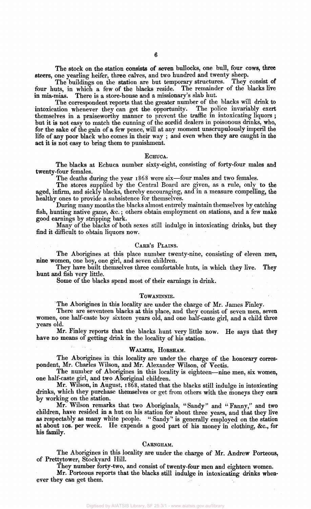The stock on the station consists of seven bullocks, one bull, four cows, three steers, one yearling heifer, three calves, and two hundred and twenty sheep.

The buildings on the station are but temporary structures. They consist of four huts, in which a few of the blacks reside. The remainder of the blacks live in mia-mias. There is a store-house and a missionary's slab hut.

The correspondent reports that the greater number of the blacks will drink to intoxication whenever they can get the opportunity. The police invariably exert themselves in a praiseworthy manner to prevent the traffic in intoxicating liquors ; but it is not easy to match the cunning of the sordid dealers in poisonous drinks, who, for the sake of the gain of a few pence, will at any moment unscrupulously imperil the life of any poor black who comes in their way ; and even when they are caught in the act it is not easy to bring them to punishment.

#### ECHUCA.

The blacks at Echuca number sixty-eight, consisting of forty-four males and twenty-four females.

The deaths during the year 1868 were six—four males and two females.

The stores supplied by the Central Board are given, as a rule, only to the aged, infirm, and sickly blacks, thereby encouraging, and in a measure compelling, the healthy ones to provide a subsistence for themselves.

During many months the blacks almost entirely maintain themselves by catching fish, hunting native game, &c.; others obtain employment on stations, and a few make good earnings by stripping bark.

Many of the blacks of both sexes still indulge in intoxicating drinks, but they find it difficult to obtain liquors now.

#### CARR'S PLAINS.

The Aborigines at this place number twenty-nine, consisting of eleven men, nine women, one boy, one girl, and seven children.

They have built themselves three comfortable huts, in which they live. They hunt and fish very little.

Some of the blacks spend most of their earnings in drink.

#### TOWANINNIE.

The Aborigines in this locality are under the charge of Mr. James Finley.

There are seventeen blacks at this place, and they consist of seven men, seven women, one half-caste boy sixteen years old, and one half-caste girl, and a child three years old.

Mr. Finley reports that the blacks hunt very little now. He says that they have no means of getting drink in the locality of his station.

#### WALMER, HORSHAM.

The Aborigines in this locality are under the charge of the honorary correspondent, Mr. Charles Wilson, and Mr. Alexander Wilson, of Vectis.

The number of Aborigines in this locality is eighteen—nine men, six women, one half-caste girl, and two Aboriginal children.

Mr. Wilson, in August, 1868, stated that the blacks still indulge in intoxicating drinks, which they purchase themselves or get from others with the moneys they earn by working on the station.

Mr. Wilson remarks that two Aboriginals, "Sandy" and "Fanny," and two children, have resided in a hut on his station for about three years, and that they live as respectably as many white people. " Sandy" is generally employed on the station at about 10s. per week. He expends a good part of his money in clothing, &c, for his family.

#### CARNGHAM.

The Aborigines in this locality are under the charge of Mr. Andrew Porteous, of Prettytower, Stockyard Hill.

They number forty-two, and consist of twenty-four men and eighteen women.

Mr. Porteous reports that the blacks still indulge in intoxicating drinks whenever they can get them.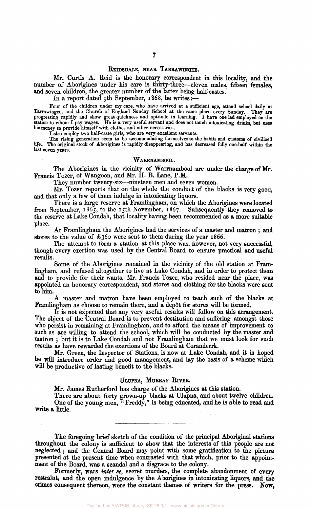#### REIDSDALE, NEAR TARRAWINGEE.

Mr. Curtis A. Reid is the honorary correspondent in this locality, and the number of Aborigines under his care is thirty-three—eleven males, fifteen females, and seven children, the greater number of the latter being half-castes.

In a report dated 9th September, 1868, he writes:-

Four of the children under my care, who have arrived at a sufficient age, attend school daily at Tarrawingee, and the Church of England Sunday School at the same place every Sunday. They are progressing rapidly and show great quickness and aptitude in learning. I have one lad employed on the station to whom I pay wages. He is a very useful servant and does not touch intoxicating drinks, but uses his money to provide himself with clothes and other necessaries.

I also employ two half-caste girls, who are very excellent servants.

The rising generation seem to be accommodating themselves to the habits and customs of civilized life. The original stock of Aborigines is rapidly disappearing, and has decreased fully one-half within the last seven years.

#### WARRNAMBOOL.

The Aborigines in the vicinity of Warrnambool are under the charge of Mr. Francis Tozer, of Wangoon, and Mr. H. B. Lane, P.M.

They number twenty-six—nineteen men and seven women.

Mr. Tozer reports that on the whole the conduct of the blacks is very good, and that only a few of them indulge in intoxicating liquors.

There is a large reserve at Framlingham, on which the Aborigines were located from September, 1865, to the 15th November, 1867. Subsequently they removed to the reserve at Lake Condah, that locality having been recommended as a more suitable place.

At Framlingham the Aborigines had the services of a master and matron ; and stores to the value of £360 were sent to them during the year 1866.

The attempt to form a station at this place was, however, not very successful, though every exertion was used by the Central Board to ensure practical and useful results.

Some of the Aborigines remained in the vicinity of the old station at Framlingham, and refused altogether to live at Lake Condah, and in order to protect them and to provide for their wants, Mr. Francis Tozer, who resided near the place, was appointed an honorary correspondent, and stores and clothing for the blacks were sent to him.

A master and matron have been employed to teach such of the blacks at Framlingham as choose to remain there, and a dep6t for stores will be formed.

It is not expected that any very useful results will follow on this arrangement. The object of the Central Board is to prevent destitution and suffering amongst those who persist in remaining at Framlingham, and to afford the means of improvement to such as are willing to attend the school, which will be conducted by the master and matron ; but it is to Lake Condah and not Framlingham that we must look for such results as have rewarded the exertions of the Board at Coranderrk.

Mr. Green, the Inspector of Stations, is now at Lake Condah, and it is hoped he will introduce order and good management, and lay the basis of a scheme which will be productive of lasting benefit to the blacks.

#### ULUPNA, MURRAY RIVER.

Mr. James Rutherford has charge of the Aborigines at this station.

There are about forty grown-up blacks at Ulupna, and about twelve children. One of the young men, "Freddy," is being educated, and he is able to read and write a little.

The foregoing brief sketch of the condition of the principal Aboriginal stations throughout the colony is sufficient to show that the interests of this people are not neglected ; and the Central Board may point with some gratification to the picture presented at the present time when contrasted with that which, prior to the appointment of the Board, was a scandal and a disgrace to the colony.

Formerly, wars *inter se,* secret murders, the complete abandonment of every restraint, and the open indulgence by the Aborigines in intoxicating liquors, and the crimes consequent thereon, were the constant themes of writers for the press. **Now,**